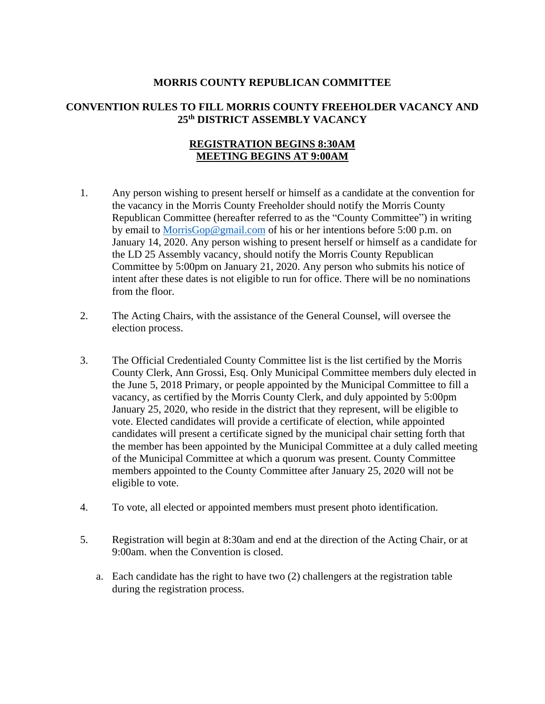## **MORRIS COUNTY REPUBLICAN COMMITTEE**

## **CONVENTION RULES TO FILL MORRIS COUNTY FREEHOLDER VACANCY AND 25th DISTRICT ASSEMBLY VACANCY**

## **REGISTRATION BEGINS 8:30AM MEETING BEGINS AT 9:00AM**

- 1. Any person wishing to present herself or himself as a candidate at the convention for the vacancy in the Morris County Freeholder should notify the Morris County Republican Committee (hereafter referred to as the "County Committee") in writing by email to [MorrisGop@gmail.com](mailto:MorrisGop@gmail.com) of his or her intentions before 5:00 p.m. on January 14, 2020. Any person wishing to present herself or himself as a candidate for the LD 25 Assembly vacancy, should notify the Morris County Republican Committee by 5:00pm on January 21, 2020. Any person who submits his notice of intent after these dates is not eligible to run for office. There will be no nominations from the floor.
- 2. The Acting Chairs, with the assistance of the General Counsel, will oversee the election process.
- 3. The Official Credentialed County Committee list is the list certified by the Morris County Clerk, Ann Grossi, Esq. Only Municipal Committee members duly elected in the June 5, 2018 Primary, or people appointed by the Municipal Committee to fill a vacancy, as certified by the Morris County Clerk, and duly appointed by 5:00pm January 25, 2020, who reside in the district that they represent, will be eligible to vote. Elected candidates will provide a certificate of election, while appointed candidates will present a certificate signed by the municipal chair setting forth that the member has been appointed by the Municipal Committee at a duly called meeting of the Municipal Committee at which a quorum was present. County Committee members appointed to the County Committee after January 25, 2020 will not be eligible to vote.
- 4. To vote, all elected or appointed members must present photo identification.
- 5. Registration will begin at 8:30am and end at the direction of the Acting Chair, or at 9:00am. when the Convention is closed.
	- a. Each candidate has the right to have two (2) challengers at the registration table during the registration process.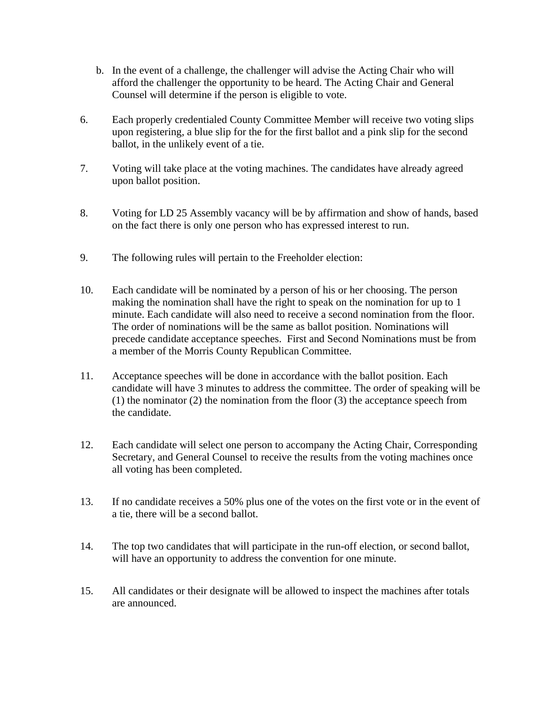- b. In the event of a challenge, the challenger will advise the Acting Chair who will afford the challenger the opportunity to be heard. The Acting Chair and General Counsel will determine if the person is eligible to vote.
- 6. Each properly credentialed County Committee Member will receive two voting slips upon registering, a blue slip for the for the first ballot and a pink slip for the second ballot, in the unlikely event of a tie.
- 7. Voting will take place at the voting machines. The candidates have already agreed upon ballot position.
- 8. Voting for LD 25 Assembly vacancy will be by affirmation and show of hands, based on the fact there is only one person who has expressed interest to run.
- 9. The following rules will pertain to the Freeholder election:
- 10. Each candidate will be nominated by a person of his or her choosing. The person making the nomination shall have the right to speak on the nomination for up to 1 minute. Each candidate will also need to receive a second nomination from the floor. The order of nominations will be the same as ballot position. Nominations will precede candidate acceptance speeches. First and Second Nominations must be from a member of the Morris County Republican Committee.
- 11. Acceptance speeches will be done in accordance with the ballot position. Each candidate will have 3 minutes to address the committee. The order of speaking will be (1) the nominator (2) the nomination from the floor (3) the acceptance speech from the candidate.
- 12. Each candidate will select one person to accompany the Acting Chair, Corresponding Secretary, and General Counsel to receive the results from the voting machines once all voting has been completed.
- 13. If no candidate receives a 50% plus one of the votes on the first vote or in the event of a tie, there will be a second ballot.
- 14. The top two candidates that will participate in the run-off election, or second ballot, will have an opportunity to address the convention for one minute.
- 15. All candidates or their designate will be allowed to inspect the machines after totals are announced.